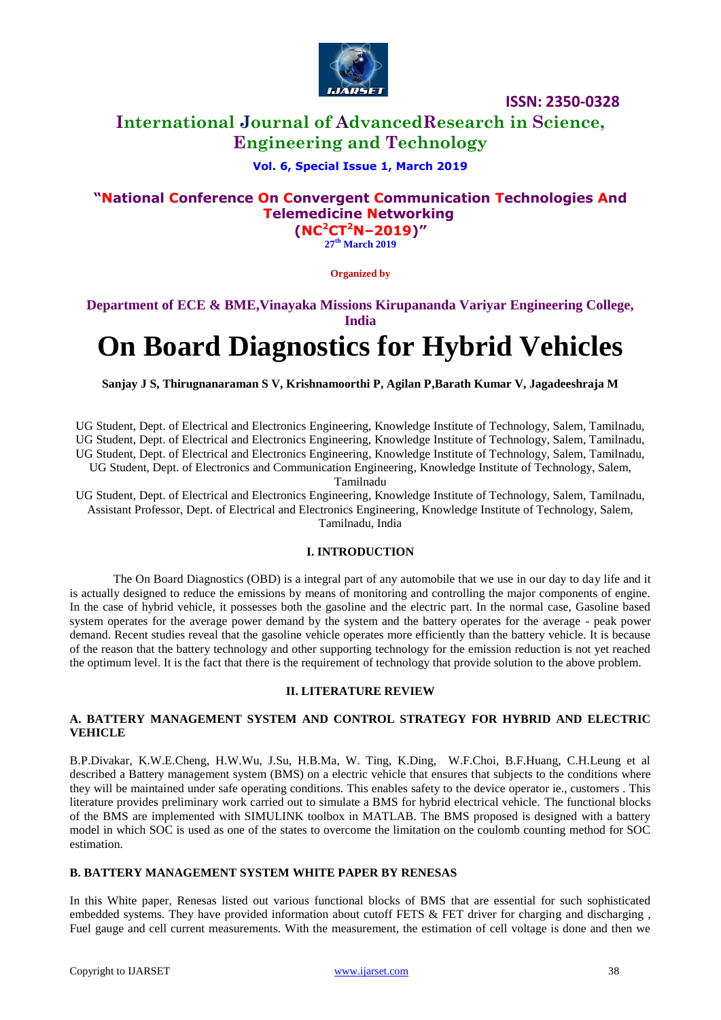

# **International Journal of AdvancedResearch in Science, Engineering and Technology**

## **Vol. 6, Special Issue 1, March 2019**

# **"National Conference On Convergent Communication Technologies And Telemedicine Networking**

**(NC<sup>2</sup>CT<sup>2</sup>N–2019)" 27 th March 2019**

**Organized by**

**Department of ECE & BME,Vinayaka Missions Kirupananda Variyar Engineering College, India**

# **On Board Diagnostics for Hybrid Vehicles**

**Sanjay J S, Thirugnanaraman S V, Krishnamoorthi P, Agilan P,Barath Kumar V, Jagadeeshraja M**

UG Student, Dept. of Electrical and Electronics Engineering, Knowledge Institute of Technology, Salem, Tamilnadu, UG Student, Dept. of Electrical and Electronics Engineering, Knowledge Institute of Technology, Salem, Tamilnadu, UG Student, Dept. of Electrical and Electronics Engineering, Knowledge Institute of Technology, Salem, Tamilnadu, UG Student, Dept. of Electronics and Communication Engineering, Knowledge Institute of Technology, Salem,

Tamilnadu

UG Student, Dept. of Electrical and Electronics Engineering, Knowledge Institute of Technology, Salem, Tamilnadu, Assistant Professor, Dept. of Electrical and Electronics Engineering, Knowledge Institute of Technology, Salem, Tamilnadu, India

## **I. INTRODUCTION**

The On Board Diagnostics (OBD) is a integral part of any automobile that we use in our day to day life and it is actually designed to reduce the emissions by means of monitoring and controlling the major components of engine. In the case of hybrid vehicle, it possesses both the gasoline and the electric part. In the normal case, Gasoline based system operates for the average power demand by the system and the battery operates for the average - peak power demand. Recent studies reveal that the gasoline vehicle operates more efficiently than the battery vehicle. It is because of the reason that the battery technology and other supporting technology for the emission reduction is not yet reached the optimum level. It is the fact that there is the requirement of technology that provide solution to the above problem.

#### **II. LITERATURE REVIEW**

#### **A. BATTERY MANAGEMENT SYSTEM AND CONTROL STRATEGY FOR HYBRID AND ELECTRIC VEHICLE**

B.P.Divakar, K.W.E.Cheng, H.W.Wu, J.Su, H.B.Ma, W. Ting, K.Ding, W.F.Choi, B.F.Huang, C.H.Leung et al described a Battery management system (BMS) on a electric vehicle that ensures that subjects to the conditions where they will be maintained under safe operating conditions. This enables safety to the device operator ie., customers . This literature provides preliminary work carried out to simulate a BMS for hybrid electrical vehicle. The functional blocks of the BMS are implemented with SIMULINK toolbox in MATLAB. The BMS proposed is designed with a battery model in which SOC is used as one of the states to overcome the limitation on the coulomb counting method for SOC estimation.

## **B. BATTERY MANAGEMENT SYSTEM WHITE PAPER BY RENESAS**

In this White paper, Renesas listed out various functional blocks of BMS that are essential for such sophisticated embedded systems. They have provided information about cutoff FETS & FET driver for charging and discharging , Fuel gauge and cell current measurements. With the measurement, the estimation of cell voltage is done and then we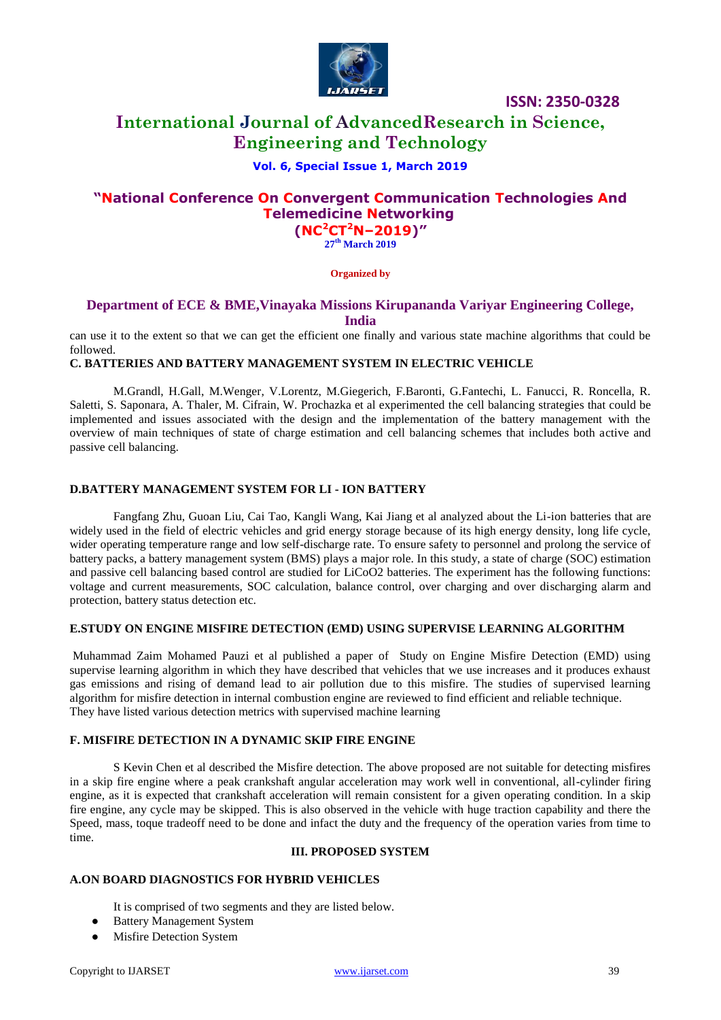

# **International Journal of AdvancedResearch in Science, Engineering and Technology**

## **Vol. 6, Special Issue 1, March 2019**

# **"National Conference On Convergent Communication Technologies And Telemedicine Networking (NC<sup>2</sup>CT<sup>2</sup>N–2019)"**

**27 th March 2019**

#### **Organized by**

## **Department of ECE & BME,Vinayaka Missions Kirupananda Variyar Engineering College, India**

can use it to the extent so that we can get the efficient one finally and various state machine algorithms that could be followed.

## **C. BATTERIES AND BATTERY MANAGEMENT SYSTEM IN ELECTRIC VEHICLE**

M.Grandl, H.Gall, M.Wenger, V.Lorentz, M.Giegerich, F.Baronti, G.Fantechi, L. Fanucci, R. Roncella, R. Saletti, S. Saponara, A. Thaler, M. Cifrain, W. Prochazka et al experimented the cell balancing strategies that could be implemented and issues associated with the design and the implementation of the battery management with the overview of main techniques of state of charge estimation and cell balancing schemes that includes both active and passive cell balancing.

#### **D.BATTERY MANAGEMENT SYSTEM FOR LI - ION BATTERY**

Fangfang Zhu, Guoan Liu, Cai Tao, Kangli Wang, Kai Jiang et al analyzed about the Li-ion batteries that are widely used in the field of electric vehicles and grid energy storage because of its high energy density, long life cycle, wider operating temperature range and low self-discharge rate. To ensure safety to personnel and prolong the service of battery packs, a battery management system (BMS) plays a major role. In this study, a state of charge (SOC) estimation and passive cell balancing based control are studied for LiCoO2 batteries. The experiment has the following functions: voltage and current measurements, SOC calculation, balance control, over charging and over discharging alarm and protection, battery status detection etc.

## **E.STUDY ON ENGINE MISFIRE DETECTION (EMD) USING SUPERVISE LEARNING ALGORITHM**

Muhammad Zaim Mohamed Pauzi et al published a paper of Study on Engine Misfire Detection (EMD) using supervise learning algorithm in which they have described that vehicles that we use increases and it produces exhaust gas emissions and rising of demand lead to air pollution due to this misfire. The studies of supervised learning algorithm for misfire detection in internal combustion engine are reviewed to find efficient and reliable technique. They have listed various detection metrics with supervised machine learning

#### **F. MISFIRE DETECTION IN A DYNAMIC SKIP FIRE ENGINE**

S Kevin Chen et al described the Misfire detection. The above proposed are not suitable for detecting misfires in a skip fire engine where a peak crankshaft angular acceleration may work well in conventional, all-cylinder firing engine, as it is expected that crankshaft acceleration will remain consistent for a given operating condition. In a skip fire engine, any cycle may be skipped. This is also observed in the vehicle with huge traction capability and there the Speed, mass, toque tradeoff need to be done and infact the duty and the frequency of the operation varies from time to time.

#### **III. PROPOSED SYSTEM**

#### **A.ON BOARD DIAGNOSTICS FOR HYBRID VEHICLES**

It is comprised of two segments and they are listed below.

- Battery Management System
- Misfire Detection System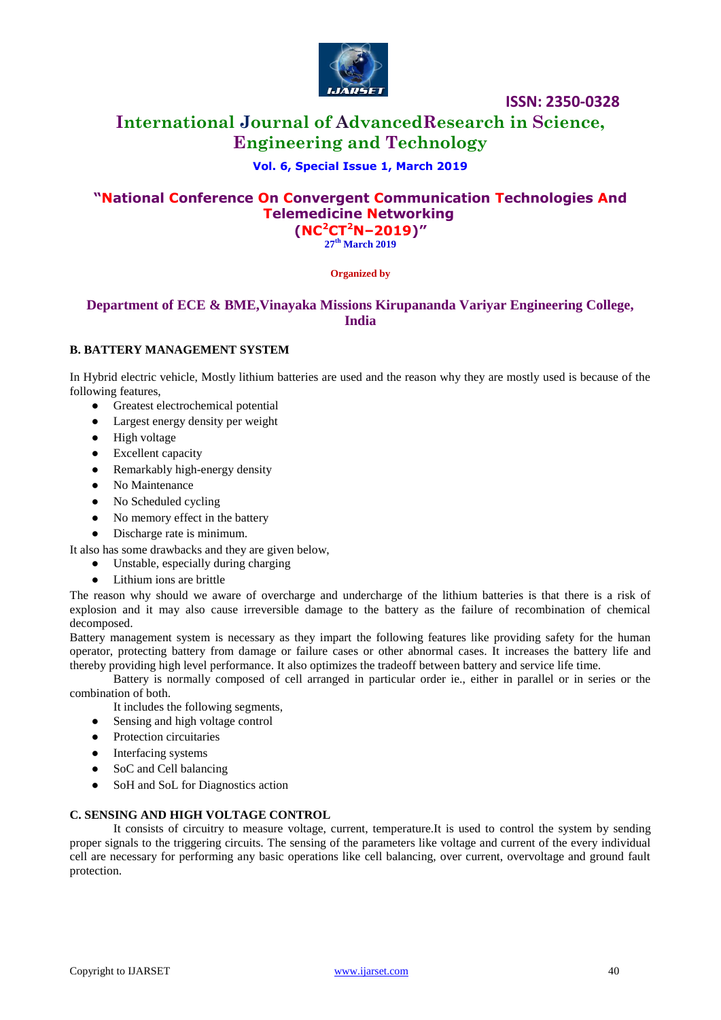

# **International Journal of AdvancedResearch in Science, Engineering and Technology**

# **Vol. 6, Special Issue 1, March 2019**

# **"National Conference On Convergent Communication Technologies And Telemedicine Networking (NC<sup>2</sup>CT<sup>2</sup>N–2019)"**

**27 th March 2019**

#### **Organized by**

# **Department of ECE & BME,Vinayaka Missions Kirupananda Variyar Engineering College, India**

## **B. BATTERY MANAGEMENT SYSTEM**

In Hybrid electric vehicle, Mostly lithium batteries are used and the reason why they are mostly used is because of the following features,

- Greatest electrochemical potential
- Largest energy density per weight
- High voltage
- Excellent capacity
- Remarkably high-energy density
- No Maintenance
- No Scheduled cycling
- No memory effect in the battery
- Discharge rate is minimum.
- It also has some drawbacks and they are given below,
	- Unstable, especially during charging
	- Lithium ions are brittle

The reason why should we aware of overcharge and undercharge of the lithium batteries is that there is a risk of explosion and it may also cause irreversible damage to the battery as the failure of recombination of chemical decomposed.

Battery management system is necessary as they impart the following features like providing safety for the human operator, protecting battery from damage or failure cases or other abnormal cases. It increases the battery life and thereby providing high level performance. It also optimizes the tradeoff between battery and service life time.

Battery is normally composed of cell arranged in particular order ie., either in parallel or in series or the combination of both.

- It includes the following segments,
- Sensing and high voltage control
- Protection circuitaries
- Interfacing systems
- SoC and Cell balancing
- SoH and SoL for Diagnostics action

#### **C. SENSING AND HIGH VOLTAGE CONTROL**

It consists of circuitry to measure voltage, current, temperature.It is used to control the system by sending proper signals to the triggering circuits. The sensing of the parameters like voltage and current of the every individual cell are necessary for performing any basic operations like cell balancing, over current, overvoltage and ground fault protection.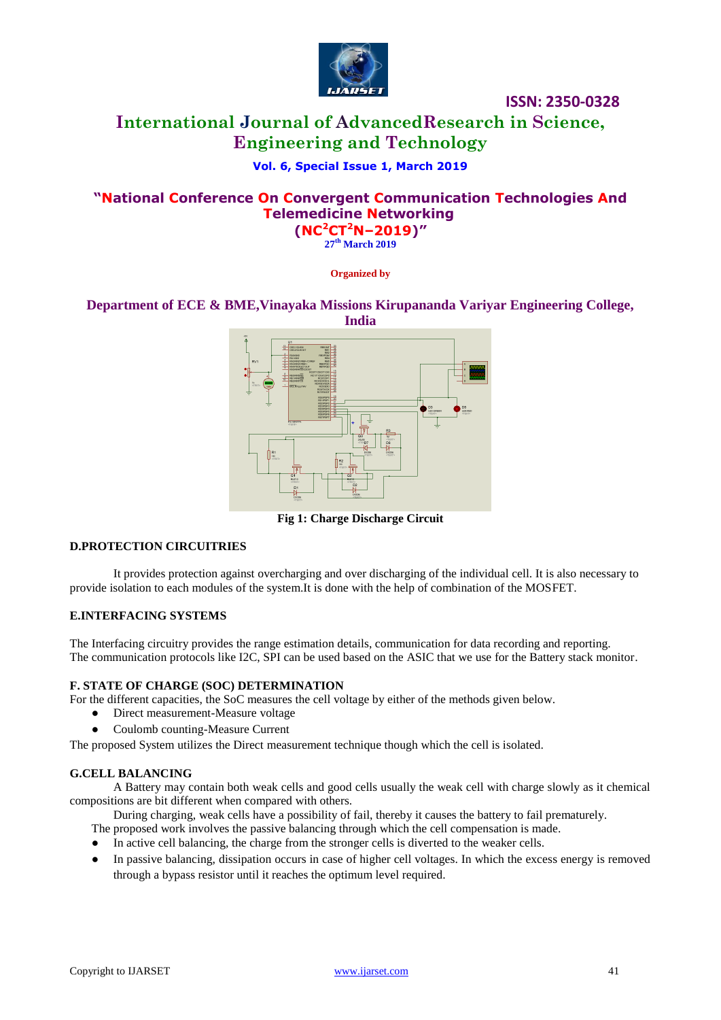

# **International Journal of AdvancedResearch in Science, Engineering and Technology**

# **Vol. 6, Special Issue 1, March 2019**

# **"National Conference On Convergent Communication Technologies And Telemedicine Networking**

**(NC<sup>2</sup>CT<sup>2</sup>N–2019)" 27 th March 2019**

**Organized by**

## **Department of ECE & BME,Vinayaka Missions Kirupananda Variyar Engineering College, India**



**Fig 1: Charge Discharge Circuit**

#### **D.PROTECTION CIRCUITRIES**

It provides protection against overcharging and over discharging of the individual cell. It is also necessary to provide isolation to each modules of the system.It is done with the help of combination of the MOSFET.

#### **E.INTERFACING SYSTEMS**

The Interfacing circuitry provides the range estimation details, communication for data recording and reporting. The communication protocols like I2C, SPI can be used based on the ASIC that we use for the Battery stack monitor.

#### **F. STATE OF CHARGE (SOC) DETERMINATION**

For the different capacities, the SoC measures the cell voltage by either of the methods given below.

- Direct measurement-Measure voltage
- Coulomb counting-Measure Current

The proposed System utilizes the Direct measurement technique though which the cell is isolated.

#### **G.CELL BALANCING**

A Battery may contain both weak cells and good cells usually the weak cell with charge slowly as it chemical compositions are bit different when compared with others.

During charging, weak cells have a possibility of fail, thereby it causes the battery to fail prematurely.

The proposed work involves the passive balancing through which the cell compensation is made.

- In active cell balancing, the charge from the stronger cells is diverted to the weaker cells.
- In passive balancing, dissipation occurs in case of higher cell voltages. In which the excess energy is removed through a bypass resistor until it reaches the optimum level required.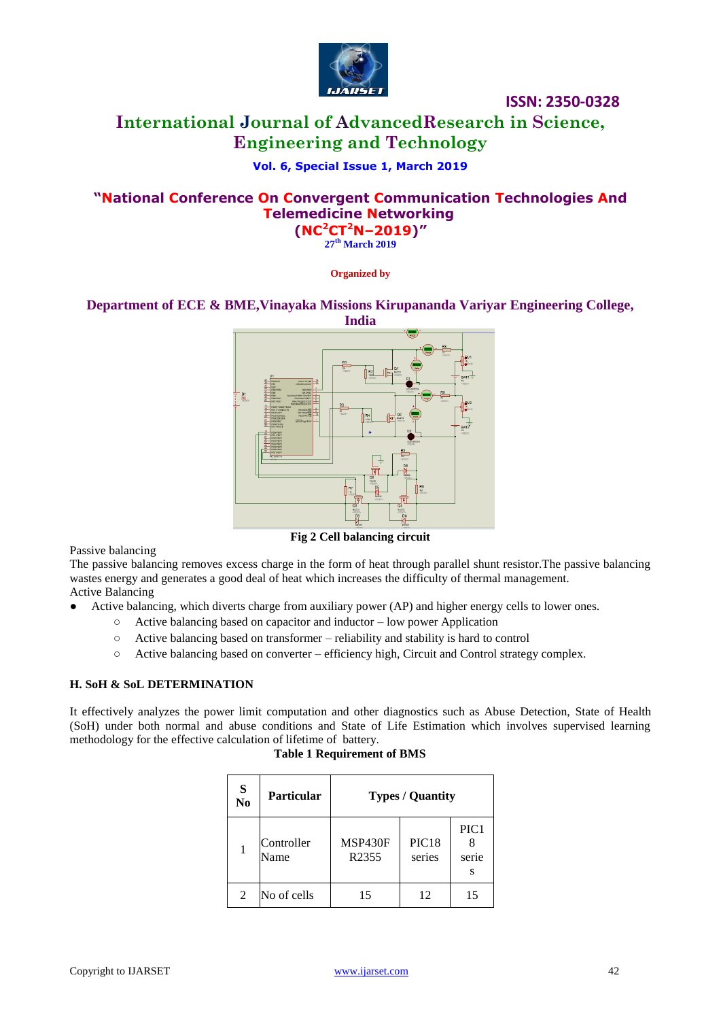

# **International Journal of AdvancedResearch in Science, Engineering and Technology**

# **Vol. 6, Special Issue 1, March 2019**

# **"National Conference On Convergent Communication Technologies And Telemedicine Networking**

**(NC<sup>2</sup>CT<sup>2</sup>N–2019)" 27 th March 2019**

**Organized by**

# **Department of ECE & BME,Vinayaka Missions Kirupananda Variyar Engineering College,**



**Fig 2 Cell balancing circuit**

Passive balancing

The passive balancing removes excess charge in the form of heat through parallel shunt resistor.The passive balancing wastes energy and generates a good deal of heat which increases the difficulty of thermal management. Active Balancing

- Active balancing, which diverts charge from auxiliary power (AP) and higher energy cells to lower ones.
	- Active balancing based on capacitor and inductor low power Application
	- Active balancing based on transformer reliability and stability is hard to control
	- Active balancing based on converter efficiency high, Circuit and Control strategy complex.

## **H. SoH & SoL DETERMINATION**

It effectively analyzes the power limit computation and other diagnostics such as Abuse Detection, State of Health (SoH) under both normal and abuse conditions and State of Life Estimation which involves supervised learning methodology for the effective calculation of lifetime of battery.

|  | <b>Table 1 Requirement of BMS</b> |
|--|-----------------------------------|
|--|-----------------------------------|

| S<br>N <sub>0</sub> | <b>Particular</b>  | <b>Types / Quantity</b> |                             |                    |  |
|---------------------|--------------------|-------------------------|-----------------------------|--------------------|--|
|                     | Controller<br>Name | MSP430F<br>R2355        | PIC <sub>18</sub><br>series | PIC1<br>serie<br>s |  |
| 2                   | No of cells        | 15                      | 12                          | 15                 |  |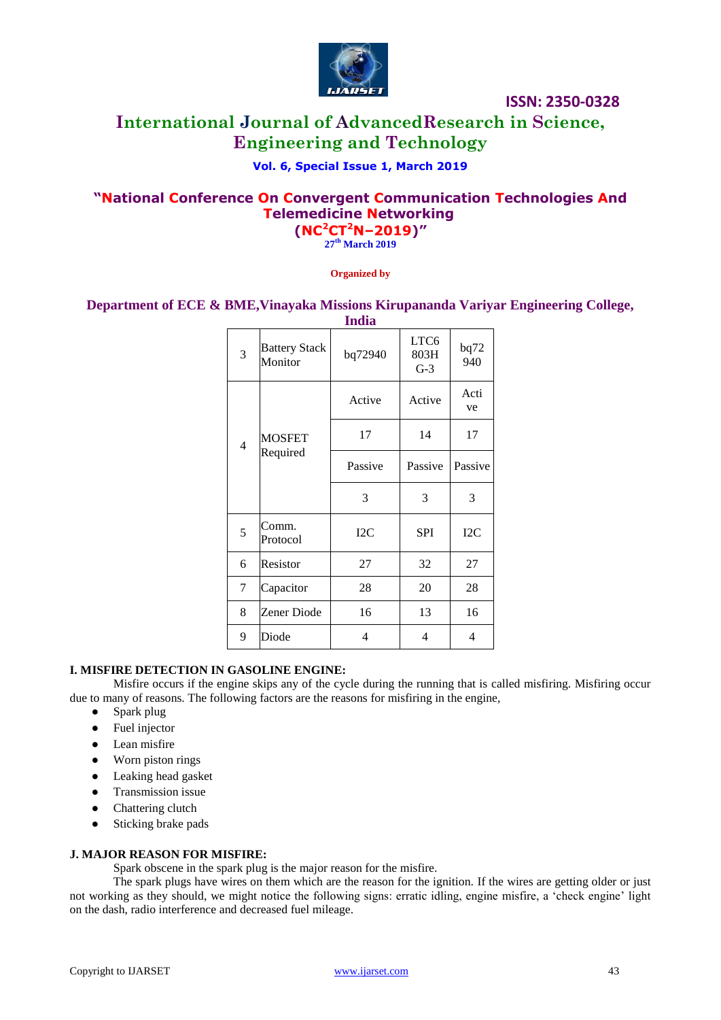

# **International Journal of AdvancedResearch in Science, Engineering and Technology**

# **Vol. 6, Special Issue 1, March 2019**

# **"National Conference On Convergent Communication Technologies And Telemedicine Networking (NC<sup>2</sup>CT<sup>2</sup>N–2019)"**

**27 th March 2019**

**Organized by**

**Department of ECE & BME,Vinayaka Missions Kirupananda Variyar Engineering College,** 

| <b>India</b> |                                 |         |                                   |             |  |  |
|--------------|---------------------------------|---------|-----------------------------------|-------------|--|--|
| 3            | <b>Battery Stack</b><br>Monitor | bq72940 | LTC <sub>6</sub><br>803H<br>$G-3$ | bq72<br>940 |  |  |
| 4            | <b>MOSFET</b><br>Required       | Active  | Active                            | Acti<br>ve  |  |  |
|              |                                 | 17      | 14                                | 17          |  |  |
|              |                                 | Passive | Passive                           | Passive     |  |  |
|              |                                 | 3       | 3                                 | 3           |  |  |
| 5            | Comm.<br>Protocol               | I2C     | <b>SPI</b>                        | I2C         |  |  |
| 6            | Resistor                        | 27      | 32                                | 27          |  |  |
| 7            | Capacitor                       | 28      | 20                                | 28          |  |  |
| 8            | Zener Diode                     | 16      | 13                                | 16          |  |  |
| 9            | Diode                           | 4       | 4                                 | 4           |  |  |
|              |                                 |         |                                   |             |  |  |

#### **I. MISFIRE DETECTION IN GASOLINE ENGINE:**

Misfire occurs if the engine skips any of the cycle during the running that is called misfiring. Misfiring occur due to many of reasons. The following factors are the reasons for misfiring in the engine,

- Spark plug
- Fuel injector
- Lean misfire
- Worn piston rings
- Leaking head gasket
- Transmission issue
- Chattering clutch
- Sticking brake pads

#### **J. MAJOR REASON FOR MISFIRE:**

Spark obscene in the spark plug is the major reason for the misfire.

The spark plugs have wires on them which are the reason for the ignition. If the wires are getting older or just not working as they should, we might notice the following signs: erratic idling, engine misfire, a "check engine" light on the dash, radio interference and decreased fuel mileage.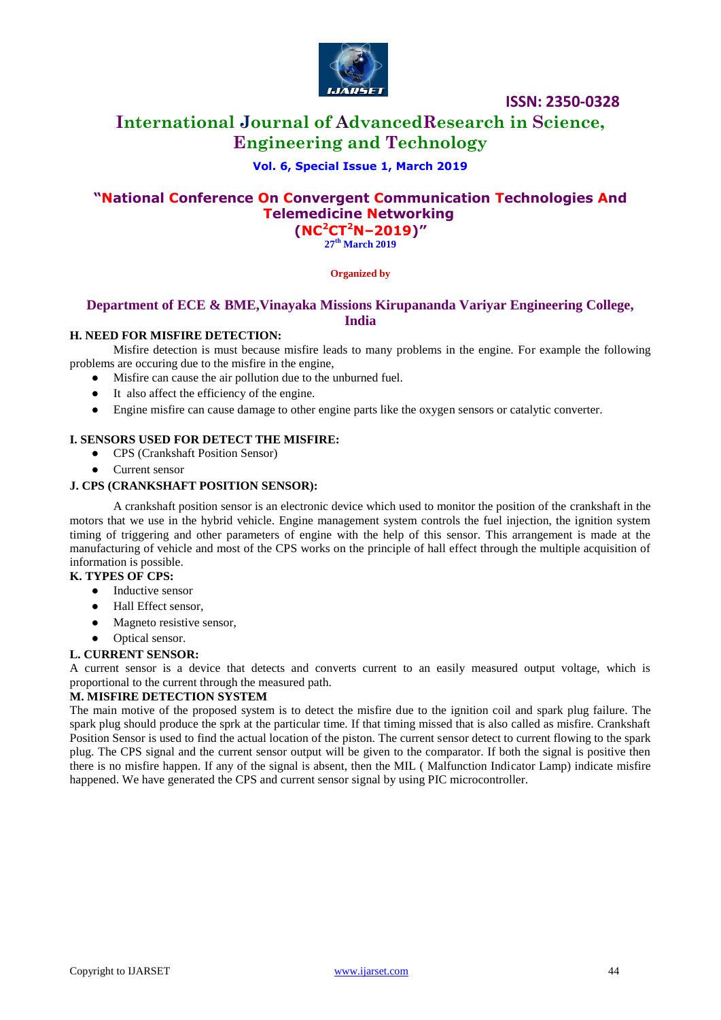

# **International Journal of AdvancedResearch in Science, Engineering and Technology**

## **Vol. 6, Special Issue 1, March 2019**

# **"National Conference On Convergent Communication Technologies And Telemedicine Networking (NC<sup>2</sup>CT<sup>2</sup>N–2019)"**

**27 th March 2019**

#### **Organized by**

## **Department of ECE & BME,Vinayaka Missions Kirupananda Variyar Engineering College, India**

#### **H. NEED FOR MISFIRE DETECTION:**

Misfire detection is must because misfire leads to many problems in the engine. For example the following problems are occuring due to the misfire in the engine,

● Misfire can cause the air pollution due to the unburned fuel.

- It also affect the efficiency of the engine.
- Engine misfire can cause damage to other engine parts like the oxygen sensors or catalytic converter.

#### **I. SENSORS USED FOR DETECT THE MISFIRE:**

- CPS (Crankshaft Position Sensor)
- Current sensor

#### **J. CPS (CRANKSHAFT POSITION SENSOR):**

A crankshaft position sensor is an electronic device which used to monitor the position of the crankshaft in the motors that we use in the hybrid vehicle. Engine management system controls the fuel injection, the ignition system timing of triggering and other parameters of engine with the help of this sensor. This arrangement is made at the manufacturing of vehicle and most of the CPS works on the principle of hall effect through the multiple acquisition of information is possible.

#### **K. TYPES OF CPS:**

- Inductive sensor
- Hall Effect sensor,
- Magneto resistive sensor,
- Optical sensor.

#### **L. CURRENT SENSOR:**

A current sensor is a device that detects and converts current to an easily measured output voltage, which is proportional to the current through the measured path.

#### **M. MISFIRE DETECTION SYSTEM**

The main motive of the proposed system is to detect the misfire due to the ignition coil and spark plug failure. The spark plug should produce the sprk at the particular time. If that timing missed that is also called as misfire. Crankshaft Position Sensor is used to find the actual location of the piston. The current sensor detect to current flowing to the spark plug. The CPS signal and the current sensor output will be given to the comparator. If both the signal is positive then there is no misfire happen. If any of the signal is absent, then the MIL ( Malfunction Indicator Lamp) indicate misfire happened. We have generated the CPS and current sensor signal by using PIC microcontroller.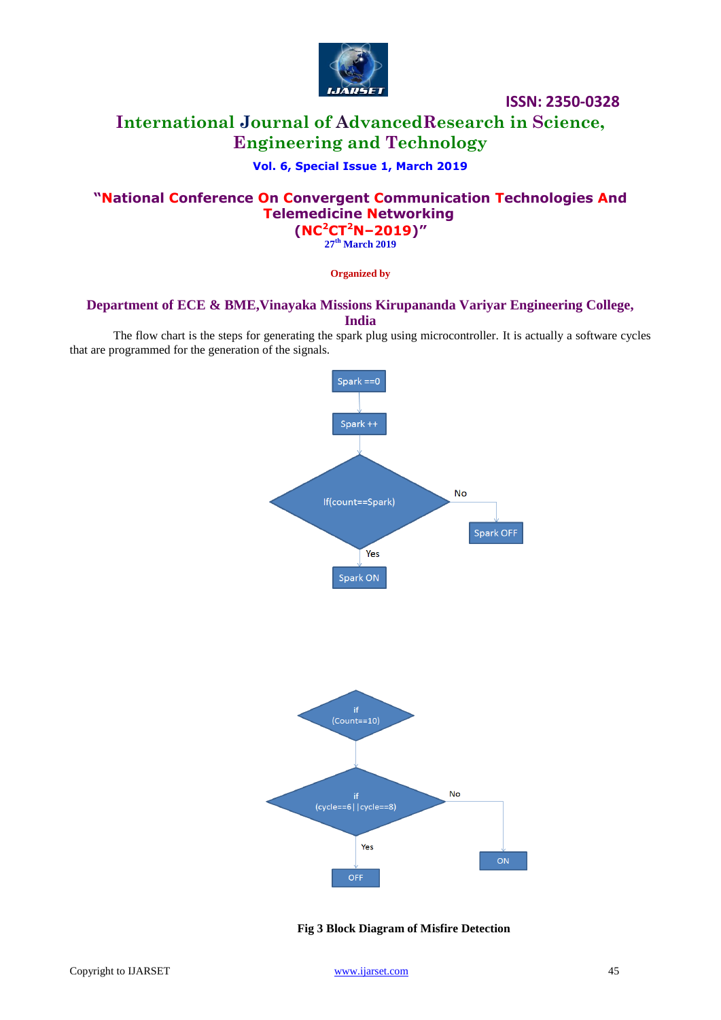

# **International Journal of AdvancedResearch in Science, Engineering and Technology**

# **Vol. 6, Special Issue 1, March 2019**

# **"National Conference On Convergent Communication Technologies And Telemedicine Networking (NC<sup>2</sup>CT<sup>2</sup>N–2019)"**

**27 th March 2019**

**Organized by**

## **Department of ECE & BME,Vinayaka Missions Kirupananda Variyar Engineering College, India**

The flow chart is the steps for generating the spark plug using microcontroller. It is actually a software cycles that are programmed for the generation of the signals.



**Fig 3 Block Diagram of Misfire Detection**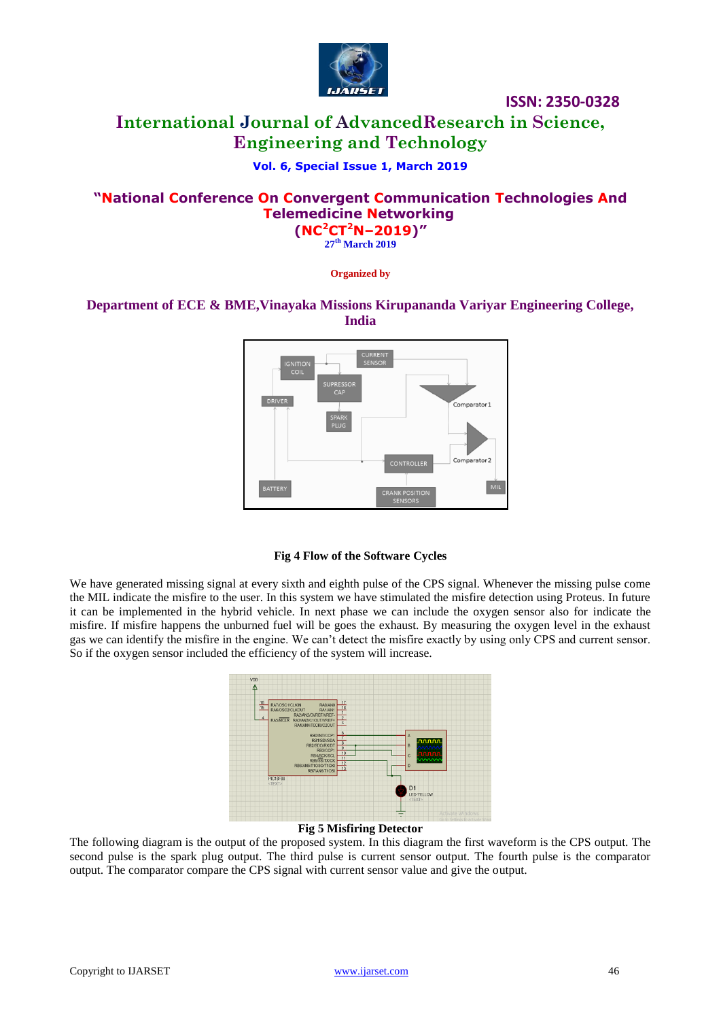

# **International Journal of AdvancedResearch in Science, Engineering and Technology**

# **Vol. 6, Special Issue 1, March 2019**

# **"National Conference On Convergent Communication Technologies And Telemedicine Networking**

**(NC<sup>2</sup>CT<sup>2</sup>N–2019)" 27 th March 2019**

**Organized by**

# **Department of ECE & BME,Vinayaka Missions Kirupananda Variyar Engineering College, India**



#### **Fig 4 Flow of the Software Cycles**

We have generated missing signal at every sixth and eighth pulse of the CPS signal. Whenever the missing pulse come the MIL indicate the misfire to the user. In this system we have stimulated the misfire detection using Proteus. In future it can be implemented in the hybrid vehicle. In next phase we can include the oxygen sensor also for indicate the misfire. If misfire happens the unburned fuel will be goes the exhaust. By measuring the oxygen level in the exhaust gas we can identify the misfire in the engine. We can"t detect the misfire exactly by using only CPS and current sensor. So if the oxygen sensor included the efficiency of the system will increase.



#### **Fig 5 Misfiring Detector**

The following diagram is the output of the proposed system. In this diagram the first waveform is the CPS output. The second pulse is the spark plug output. The third pulse is current sensor output. The fourth pulse is the comparator output. The comparator compare the CPS signal with current sensor value and give the output.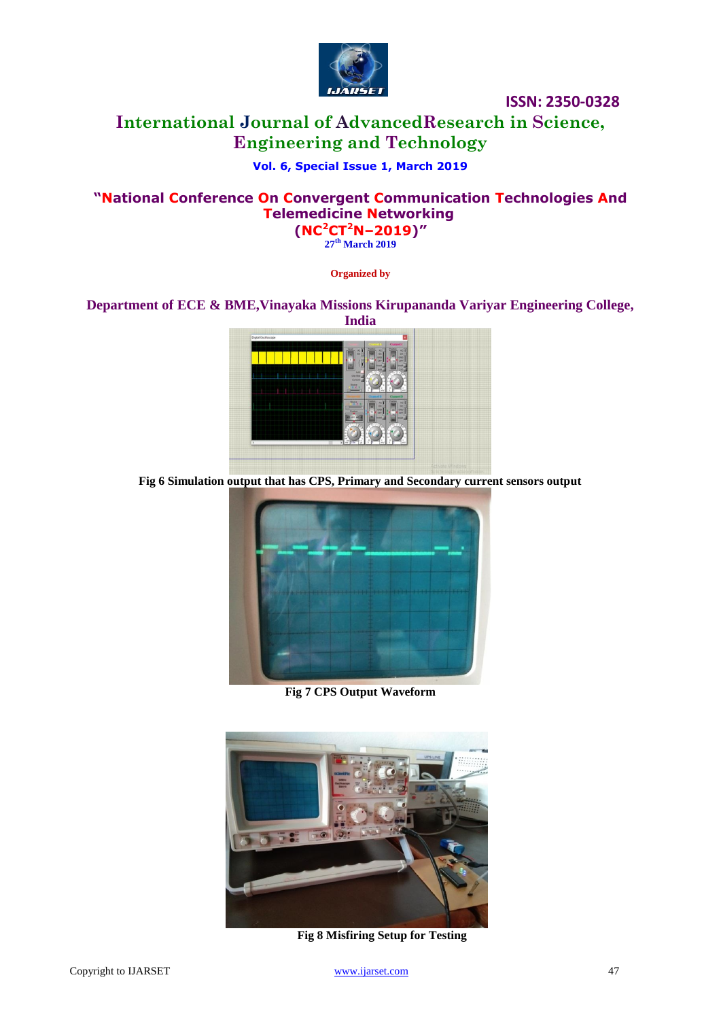

# **International Journal of AdvancedResearch in Science, Engineering and Technology**

# **Vol. 6, Special Issue 1, March 2019**

# **"National Conference On Convergent Communication Technologies And Telemedicine Networking (NC<sup>2</sup>CT<sup>2</sup>N–2019)"**

**27 th March 2019**

**Organized by**

# **Department of ECE & BME,Vinayaka Missions Kirupananda Variyar Engineering College,**



**Fig 6 Simulation output that has CPS, Primary and Secondary current sensors output**



**Fig 7 CPS Output Waveform**



**Fig 8 Misfiring Setup for Testing**